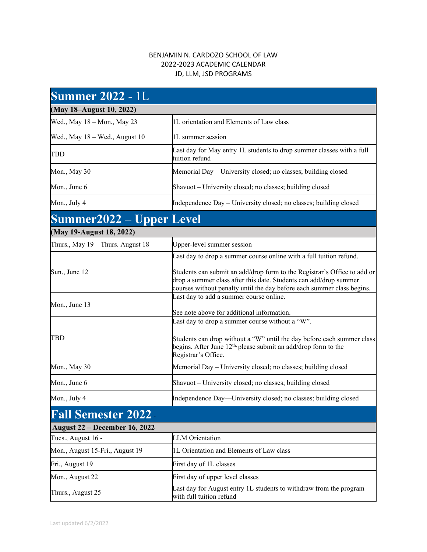## BENJAMIN N. CARDOZO SCHOOL OF LAW 2022-2023 ACADEMIC CALENDAR JD, LLM, JSD PROGRAMS

| <b>Summer 2022 - 1L</b>              |                                                                                                                                                                                                                         |
|--------------------------------------|-------------------------------------------------------------------------------------------------------------------------------------------------------------------------------------------------------------------------|
| (May 18–August 10, 2022)             |                                                                                                                                                                                                                         |
| Wed., May 18 – Mon., May 23          | 1L orientation and Elements of Law class                                                                                                                                                                                |
| Wed., May 18 – Wed., August 10       | 1L summer session                                                                                                                                                                                                       |
| <b>TBD</b>                           | Last day for May entry 1L students to drop summer classes with a full<br>tuition refund                                                                                                                                 |
| Mon., May 30                         | Memorial Day—University closed; no classes; building closed                                                                                                                                                             |
| Mon., June 6                         | Shavuot – University closed; no classes; building closed                                                                                                                                                                |
| Mon., July 4                         | Independence Day - University closed; no classes; building closed                                                                                                                                                       |
| <b>Summer2022 – Upper Level</b>      |                                                                                                                                                                                                                         |
| (May 19-August 18, 2022)             |                                                                                                                                                                                                                         |
| Thurs., May 19 - Thurs. August 18    | Upper-level summer session                                                                                                                                                                                              |
|                                      | Last day to drop a summer course online with a full tuition refund.                                                                                                                                                     |
| Sun., June 12                        | Students can submit an add/drop form to the Registrar's Office to add or<br>drop a summer class after this date. Students can add/drop summer<br>courses without penalty until the day before each summer class begins. |
| Mon., June 13                        | Last day to add a summer course online.<br>See note above for additional information.                                                                                                                                   |
|                                      | Last day to drop a summer course without a "W".                                                                                                                                                                         |
| TBD                                  | Students can drop without a "W" until the day before each summer class<br>begins. After June $12th$ , please submit an add/drop form to the<br>Registrar's Office.                                                      |
| Mon., May 30                         | Memorial Day – University closed; no classes; building closed                                                                                                                                                           |
| Mon., June 6                         | Shavuot – University closed; no classes; building closed                                                                                                                                                                |
| Mon., July 4                         | Independence Day—University closed; no classes; building closed                                                                                                                                                         |
| <b>Fall Semester 2022</b>            |                                                                                                                                                                                                                         |
| <b>August 22 – December 16, 2022</b> |                                                                                                                                                                                                                         |
| Tues., August 16 -                   | <b>LLM</b> Orientation                                                                                                                                                                                                  |
| Mon., August 15-Fri., August 19      | 1L Orientation and Elements of Law class                                                                                                                                                                                |
| Fri., August 19                      | First day of 1L classes                                                                                                                                                                                                 |
|                                      |                                                                                                                                                                                                                         |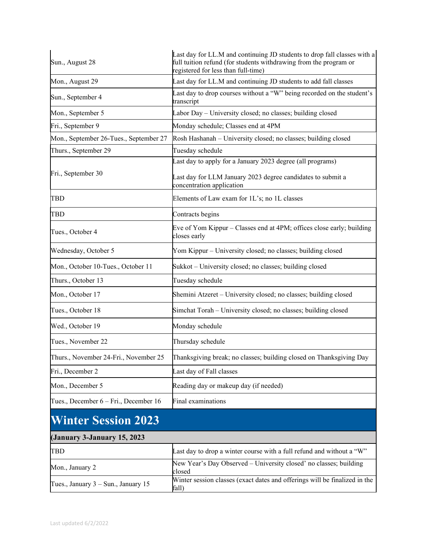| Sun., August 28                        | Last day for LL.M and continuing JD students to drop fall classes with a<br>full tuition refund (for students withdrawing from the program or<br>registered for less than full-time) |
|----------------------------------------|--------------------------------------------------------------------------------------------------------------------------------------------------------------------------------------|
| Mon., August 29                        | Last day for LL.M and continuing JD students to add fall classes                                                                                                                     |
| Sun., September 4                      | Last day to drop courses without a "W" being recorded on the student's<br>transcript                                                                                                 |
| Mon., September 5                      | Labor Day - University closed; no classes; building closed                                                                                                                           |
| Fri., September 9                      | Monday schedule; Classes end at 4PM                                                                                                                                                  |
| Mon., September 26-Tues., September 27 | Rosh Hashanah - University closed; no classes; building closed                                                                                                                       |
| Thurs., September 29                   | Tuesday schedule                                                                                                                                                                     |
|                                        | Last day to apply for a January 2023 degree (all programs)                                                                                                                           |
| Fri., September 30                     | Last day for LLM January 2023 degree candidates to submit a<br>concentration application                                                                                             |
| <b>TBD</b>                             | Elements of Law exam for 1L's; no 1L classes                                                                                                                                         |
| <b>TBD</b>                             | Contracts begins                                                                                                                                                                     |
| Tues., October 4                       | Eve of Yom Kippur – Classes end at 4PM; offices close early; building<br>closes early                                                                                                |
| Wednesday, October 5                   | Yom Kippur – University closed; no classes; building closed                                                                                                                          |
| Mon., October 10-Tues., October 11     | Sukkot - University closed; no classes; building closed                                                                                                                              |
| Thurs., October 13                     | Tuesday schedule                                                                                                                                                                     |
| Mon., October 17                       | Shemini Atzeret - University closed; no classes; building closed                                                                                                                     |
| Tues., October 18                      | Simchat Torah - University closed; no classes; building closed                                                                                                                       |
| Wed., October 19                       | Monday schedule                                                                                                                                                                      |
| Tues., November 22                     | Thursday schedule                                                                                                                                                                    |
| Thurs., November 24-Fri., November 25  | Thanksgiving break; no classes; building closed on Thanksgiving Day                                                                                                                  |
| Fri., December 2                       | Last day of Fall classes                                                                                                                                                             |
| Mon., December 5                       | Reading day or makeup day (if needed)                                                                                                                                                |
| Tues., December 6 – Fri., December 16  | Final examinations                                                                                                                                                                   |
| <b>Winter Session 2023</b>             |                                                                                                                                                                                      |
| (January 3-January 15, 2023            |                                                                                                                                                                                      |
| <b>TBD</b>                             | Last day to drop a winter course with a full refund and without a "W"                                                                                                                |
| Mon., January 2                        | New Year's Day Observed - University closed' no classes; building<br>closed                                                                                                          |
| Tues., January 3 - Sun., January 15    | Winter session classes (exact dates and offerings will be finalized in the<br>fall)                                                                                                  |